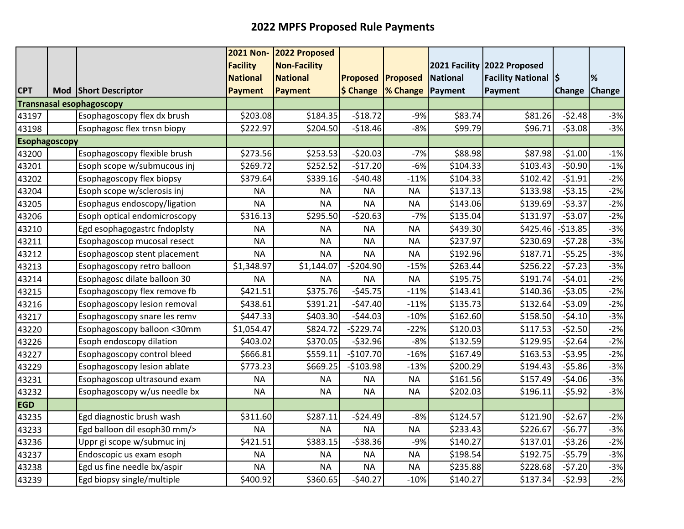|                      |                                 | <b>2021 Non-</b> | 2022 Proposed       |                 |                                           |                 |                            |               |               |
|----------------------|---------------------------------|------------------|---------------------|-----------------|-------------------------------------------|-----------------|----------------------------|---------------|---------------|
|                      |                                 | <b>Facility</b>  | <b>Non-Facility</b> |                 |                                           | 2021 Facility   | 2022 Proposed              |               |               |
|                      |                                 | <b>National</b>  | <b>National</b>     | <b>Proposed</b> | <b>Proposed</b>                           | <b>National</b> | <b>Facility National S</b> |               | %             |
| <b>CPT</b>           | Mod Short Descriptor            | <b>Payment</b>   | <b>Payment</b>      |                 | $\frac{1}{2}$ Change $\frac{1}{2}$ Change | Payment         | Payment                    | <b>Change</b> | <b>Change</b> |
|                      | <b>Transnasal esophagoscopy</b> |                  |                     |                 |                                           |                 |                            |               |               |
| 43197                | Esophagoscopy flex dx brush     | \$203.08         | \$184.35            | $-518.72$       | $-9%$                                     | \$83.74         | \$81.26                    | $-52.48$      | $-3%$         |
| 43198                | Esophagosc flex trnsn biopy     | \$222.97         | \$204.50            | $-518.46$       | $-8%$                                     | \$99.79         | \$96.71                    | $-53.08$      | $-3%$         |
| <b>Esophagoscopy</b> |                                 |                  |                     |                 |                                           |                 |                            |               |               |
| 43200                | Esophagoscopy flexible brush    | \$273.56         | \$253.53            | $-520.03$       | $-7%$                                     | \$88.98         | \$87.98                    | $-51.00$      | $-1%$         |
| 43201                | Esoph scope w/submucous inj     | \$269.72         | \$252.52            | $-517.20$       | $-6%$                                     | \$104.33        | \$103.43                   | $-50.90$      | $-1%$         |
| 43202                | Esophagoscopy flex biopsy       | \$379.64         | \$339.16            | $-$40.48$       | $-11%$                                    | \$104.33        | \$102.42                   | $-51.91$      | $-2%$         |
| 43204                | Esoph scope w/sclerosis inj     | <b>NA</b>        | <b>NA</b>           | <b>NA</b>       | <b>NA</b>                                 | \$137.13        | \$133.98                   | $-53.15$      | $-2%$         |
| 43205                | Esophagus endoscopy/ligation    | <b>NA</b>        | <b>NA</b>           | <b>NA</b>       | <b>NA</b>                                 | \$143.06        | \$139.69                   | $-53.37$      | $-2%$         |
| 43206                | Esoph optical endomicroscopy    | \$316.13         | \$295.50            | $-520.63$       | $-7%$                                     | \$135.04        | \$131.97                   | $-53.07$      | $-2%$         |
| 43210                | Egd esophagogastrc fndoplsty    | <b>NA</b>        | <b>NA</b>           | <b>NA</b>       | <b>NA</b>                                 | \$439.30        | \$425.46                   | $-513.85$     | $-3%$         |
| 43211                | Esophagoscop mucosal resect     | <b>NA</b>        | <b>NA</b>           | <b>NA</b>       | <b>NA</b>                                 | \$237.97        | \$230.69                   | $-57.28$      | $-3%$         |
| 43212                | Esophagoscop stent placement    | <b>NA</b>        | <b>NA</b>           | <b>NA</b>       | <b>NA</b>                                 | \$192.96        | \$187.71                   | $-55.25$      | $-3%$         |
| 43213                | Esophagoscopy retro balloon     | \$1,348.97       | \$1,144.07          | $-5204.90$      | $-15%$                                    | \$263.44        | \$256.22                   | $-57.23$      | $-3%$         |
| 43214                | Esophagosc dilate balloon 30    | <b>NA</b>        | <b>NA</b>           | <b>NA</b>       | <b>NA</b>                                 | \$195.75        | \$191.74                   | $-54.01$      | $-2%$         |
| 43215                | Esophagoscopy flex remove fb    | \$421.51         | \$375.76            | $-545.75$       | $-11%$                                    | \$143.41        | \$140.36                   | $-53.05$      | $-2%$         |
| 43216                | Esophagoscopy lesion removal    | \$438.61         | \$391.21            | $-547.40$       | $-11%$                                    | \$135.73        | \$132.64                   | $-53.09$      | $-2%$         |
| 43217                | Esophagoscopy snare les remv    | \$447.33         | \$403.30            | $-544.03$       | $-10%$                                    | \$162.60        | \$158.50                   | $-54.10$      | $-3%$         |
| 43220                | Esophagoscopy balloon <30mm     | \$1,054.47       | \$824.72            | $-5229.74$      | $-22%$                                    | \$120.03        | \$117.53                   | $-52.50$      | $-2%$         |
| 43226                | Esoph endoscopy dilation        | \$403.02         | \$370.05            | $-532.96$       | $-8%$                                     | \$132.59        | \$129.95                   | $-52.64$      | $-2%$         |
| 43227                | Esophagoscopy control bleed     | \$666.81         | \$559.11            | $-$107.70$      | $-16%$                                    | \$167.49        | \$163.53                   | $-53.95$      | $-2%$         |
| 43229                | Esophagoscopy lesion ablate     | \$773.23         | \$669.25            | $-$103.98$      | $-13%$                                    | \$200.29        | \$194.43                   | $-55.86$      | $-3%$         |
| 43231                | Esophagoscop ultrasound exam    | <b>NA</b>        | <b>NA</b>           | <b>NA</b>       | <b>NA</b>                                 | \$161.56        | \$157.49                   | $-$4.06$      | $-3%$         |
| 43232                | Esophagoscopy w/us needle bx    | <b>NA</b>        | <b>NA</b>           | <b>NA</b>       | <b>NA</b>                                 | \$202.03        | \$196.11                   | $-55.92$      | $-3%$         |
| <b>EGD</b>           |                                 |                  |                     |                 |                                           |                 |                            |               |               |
| 43235                | Egd diagnostic brush wash       | \$311.60         | \$287.11            | $-524.49$       | $-8%$                                     | \$124.57        | \$121.90                   | $-52.67$      | $-2%$         |
| 43233                | Egd balloon dil esoph30 mm/>    | <b>NA</b>        | <b>NA</b>           | <b>NA</b>       | <b>NA</b>                                 | \$233.43        | \$226.67                   | $-56.77$      | $-3%$         |
| 43236                | Uppr gi scope w/submuc inj      | \$421.51         | \$383.15            | $-538.36$       | $-9%$                                     | \$140.27        | \$137.01                   | $-53.26$      | $-2%$         |
| 43237                | Endoscopic us exam esoph        | <b>NA</b>        | <b>NA</b>           | <b>NA</b>       | <b>NA</b>                                 | \$198.54        | \$192.75                   | $-55.79$      | $-3%$         |
| 43238                | Egd us fine needle bx/aspir     | <b>NA</b>        | <b>NA</b>           | <b>NA</b>       | <b>NA</b>                                 | \$235.88        | \$228.68                   | $-57.20$      | $-3%$         |
| 43239                | Egd biopsy single/multiple      | \$400.92         | \$360.65            | $-540.27$       | $-10%$                                    | \$140.27        | \$137.34                   | $-52.93$      | $-2%$         |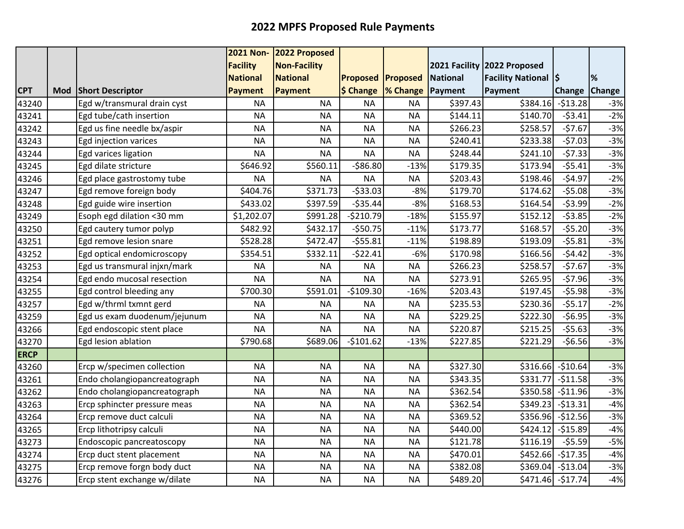|             |     |                              | <b>2021 Non-</b> | 2022 Proposed       |                 |           |                 |                             |               |               |
|-------------|-----|------------------------------|------------------|---------------------|-----------------|-----------|-----------------|-----------------------------|---------------|---------------|
|             |     |                              | <b>Facility</b>  | <b>Non-Facility</b> |                 |           |                 | 2021 Facility 2022 Proposed |               |               |
|             |     |                              | <b>National</b>  | <b>National</b>     | <b>Proposed</b> | Proposed  | <b>National</b> | <b>Facility National S</b>  |               | %             |
| <b>CPT</b>  | Mod | <b>Short Descriptor</b>      | <b>Payment</b>   | Payment             | \$ Change       | % Change  | Payment         | Payment                     | <b>Change</b> | <b>Change</b> |
| 43240       |     | Egd w/transmural drain cyst  | <b>NA</b>        | <b>NA</b>           | <b>NA</b>       | <b>NA</b> | \$397.43        | \$384.16                    | $-513.28$     | $-3%$         |
| 43241       |     | Egd tube/cath insertion      | <b>NA</b>        | <b>NA</b>           | <b>NA</b>       | <b>NA</b> | \$144.11        | \$140.70                    | $-53.41$      | $-2%$         |
| 43242       |     | Egd us fine needle bx/aspir  | <b>NA</b>        | <b>NA</b>           | <b>NA</b>       | <b>NA</b> | \$266.23        | \$258.57                    | $-57.67$      | $-3%$         |
| 43243       |     | Egd injection varices        | <b>NA</b>        | <b>NA</b>           | <b>NA</b>       | <b>NA</b> | \$240.41        | \$233.38                    | $-57.03$      | $-3%$         |
| 43244       |     | Egd varices ligation         | <b>NA</b>        | <b>NA</b>           | <b>NA</b>       | <b>NA</b> | \$248.44        | \$241.10                    | $-57.33$      | $-3%$         |
| 43245       |     | Egd dilate stricture         | \$646.92         | \$560.11            | $-586.80$       | $-13%$    | \$179.35        | \$173.94                    | $-55.41$      | $-3%$         |
| 43246       |     | Egd place gastrostomy tube   | <b>NA</b>        | <b>NA</b>           | <b>NA</b>       | <b>NA</b> | \$203.43        | \$198.46                    | $-54.97$      | $-2%$         |
| 43247       |     | Egd remove foreign body      | \$404.76         | \$371.73            | $-533.03$       | $-8%$     | \$179.70        | \$174.62                    | $-55.08$      | $-3%$         |
| 43248       |     | Egd guide wire insertion     | \$433.02         | \$397.59            | $-535.44$       | $-8%$     | \$168.53        | \$164.54                    | $-53.99$      | $-2%$         |
| 43249       |     | Esoph egd dilation <30 mm    | \$1,202.07       | \$991.28            | $-5210.79$      | $-18%$    | \$155.97        | \$152.12                    | $-53.85$      | $-2%$         |
| 43250       |     | Egd cautery tumor polyp      | \$482.92         | \$432.17            | $-550.75$       | $-11%$    | \$173.77        | \$168.57                    | $-55.20$      | $-3%$         |
| 43251       |     | Egd remove lesion snare      | \$528.28         | \$472.47            | $-555.81$       | $-11%$    | \$198.89        | \$193.09                    | $-55.81$      | $-3%$         |
| 43252       |     | Egd optical endomicroscopy   | \$354.51         | \$332.11            | $-522.41$       | $-6%$     | \$170.98        | \$166.56                    | $-54.42$      | $-3%$         |
| 43253       |     | Egd us transmural injxn/mark | <b>NA</b>        | <b>NA</b>           | <b>NA</b>       | <b>NA</b> | \$266.23        | \$258.57                    | $-57.67$      | $-3%$         |
| 43254       |     | Egd endo mucosal resection   | <b>NA</b>        | <b>NA</b>           | <b>NA</b>       | <b>NA</b> | \$273.91        | \$265.95                    | $-57.96$      | $-3%$         |
| 43255       |     | Egd control bleeding any     | \$700.30         | \$591.01            | $-$109.30$      | $-16%$    | \$203.43        | \$197.45                    | $-55.98$      | $-3%$         |
| 43257       |     | Egd w/thrml txmnt gerd       | <b>NA</b>        | <b>NA</b>           | <b>NA</b>       | <b>NA</b> | \$235.53        | \$230.36                    | $-55.17$      | $-2%$         |
| 43259       |     | Egd us exam duodenum/jejunum | <b>NA</b>        | <b>NA</b>           | <b>NA</b>       | <b>NA</b> | \$229.25        | \$222.30                    | $-56.95$      | $-3%$         |
| 43266       |     | Egd endoscopic stent place   | <b>NA</b>        | <b>NA</b>           | <b>NA</b>       | <b>NA</b> | \$220.87        | \$215.25                    | $-55.63$      | $-3%$         |
| 43270       |     | Egd lesion ablation          | \$790.68         | \$689.06            | $-$101.62$      | $-13%$    | \$227.85        | \$221.29                    | $-56.56$      | $-3%$         |
| <b>ERCP</b> |     |                              |                  |                     |                 |           |                 |                             |               |               |
| 43260       |     | Ercp w/specimen collection   | <b>NA</b>        | <b>NA</b>           | <b>NA</b>       | <b>NA</b> | \$327.30        | $$316.66$ -\$10.64          |               | $-3%$         |
| 43261       |     | Endo cholangiopancreatograph | <b>NA</b>        | <b>NA</b>           | <b>NA</b>       | <b>NA</b> | \$343.35        | \$331.77                    | $-511.58$     | $-3%$         |
| 43262       |     | Endo cholangiopancreatograph | <b>NA</b>        | <b>NA</b>           | <b>NA</b>       | <b>NA</b> | \$362.54        | \$350.58                    | $-511.96$     | $-3%$         |
| 43263       |     | Ercp sphincter pressure meas | <b>NA</b>        | <b>NA</b>           | <b>NA</b>       | <b>NA</b> | \$362.54        | \$349.23                    | $-513.31$     | $-4%$         |
| 43264       |     | Ercp remove duct calculi     | <b>NA</b>        | <b>NA</b>           | <b>NA</b>       | <b>NA</b> | \$369.52        | \$356.96                    | $-512.56$     | $-3%$         |
| 43265       |     | Ercp lithotripsy calculi     | <b>NA</b>        | <b>NA</b>           | <b>NA</b>       | <b>NA</b> | \$440.00        | \$424.12                    | $-$15.89$     | $-4%$         |
| 43273       |     | Endoscopic pancreatoscopy    | <b>NA</b>        | <b>NA</b>           | <b>NA</b>       | <b>NA</b> | \$121.78        | \$116.19                    | $-55.59$      | $-5%$         |
| 43274       |     | Ercp duct stent placement    | <b>NA</b>        | <b>NA</b>           | <b>NA</b>       | <b>NA</b> | \$470.01        | \$452.66                    | $-517.35$     | $-4%$         |
| 43275       |     | Ercp remove forgn body duct  | <b>NA</b>        | <b>NA</b>           | <b>NA</b>       | <b>NA</b> | \$382.08        | \$369.04                    | $-513.04$     | $-3%$         |
| 43276       |     | Ercp stent exchange w/dilate | <b>NA</b>        | <b>NA</b>           | <b>NA</b>       | <b>NA</b> | \$489.20        | $$471.46$ -\$17.74          |               | $-4%$         |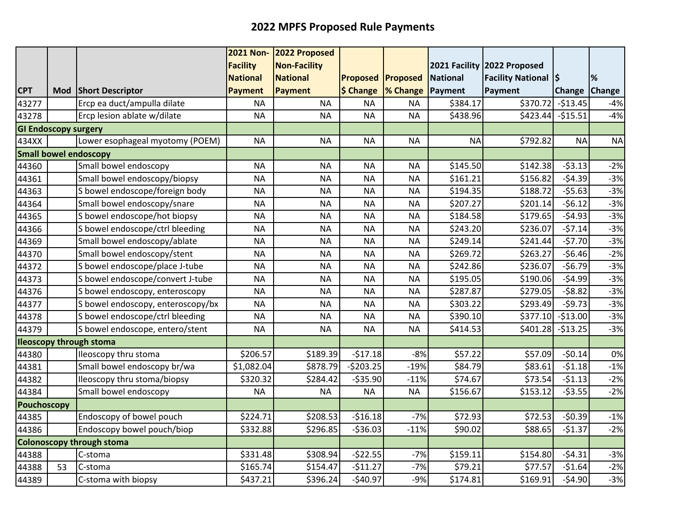|                             |    |                                   | <b>2021 Non-</b> | 2022 Proposed       |                          |           |                 |                             |           |               |
|-----------------------------|----|-----------------------------------|------------------|---------------------|--------------------------|-----------|-----------------|-----------------------------|-----------|---------------|
|                             |    |                                   | <b>Facility</b>  | <b>Non-Facility</b> |                          |           |                 | 2021 Facility 2022 Proposed |           |               |
|                             |    |                                   | <b>National</b>  | <b>National</b>     | <b>Proposed Proposed</b> |           | <b>National</b> | <b>Facility National S</b>  |           | %             |
| <b>CPT</b>                  |    | Mod Short Descriptor              | <b>Payment</b>   | Payment             | \$ Change                | % Change  | Payment         | Payment                     | Change    | <b>Change</b> |
| 43277                       |    | Ercp ea duct/ampulla dilate       | <b>NA</b>        | <b>NA</b>           | <b>NA</b>                | <b>NA</b> | \$384.17        | \$370.72                    | $-513.45$ | $-4%$         |
| 43278                       |    | Ercp lesion ablate w/dilate       | <b>NA</b>        | <b>NA</b>           | <b>NA</b>                | <b>NA</b> | \$438.96        | \$423.44]                   | $-515.51$ | $-4%$         |
| <b>GI Endoscopy surgery</b> |    |                                   |                  |                     |                          |           |                 |                             |           |               |
| 434XX                       |    | Lower esophageal myotomy (POEM)   | <b>NA</b>        | <b>NA</b>           | <b>NA</b>                | <b>NA</b> | <b>NA</b>       | \$792.82                    | <b>NA</b> | <b>NA</b>     |
|                             |    | <b>Small bowel endoscopy</b>      |                  |                     |                          |           |                 |                             |           |               |
| 44360                       |    | Small bowel endoscopy             | <b>NA</b>        | <b>NA</b>           | <b>NA</b>                | <b>NA</b> | \$145.50        | \$142.38                    | $-53.13$  | $-2%$         |
| 44361                       |    | Small bowel endoscopy/biopsy      | <b>NA</b>        | <b>NA</b>           | <b>NA</b>                | <b>NA</b> | \$161.21        | \$156.82                    | $-54.39$  | $-3%$         |
| 44363                       |    | S bowel endoscope/foreign body    | <b>NA</b>        | <b>NA</b>           | <b>NA</b>                | <b>NA</b> | \$194.35        | \$188.72                    | $-55.63$  | $-3%$         |
| 44364                       |    | Small bowel endoscopy/snare       | <b>NA</b>        | <b>NA</b>           | <b>NA</b>                | <b>NA</b> | \$207.27        | \$201.14                    | $-56.12$  | $-3%$         |
| 44365                       |    | S bowel endoscope/hot biopsy      | <b>NA</b>        | <b>NA</b>           | <b>NA</b>                | <b>NA</b> | \$184.58        | \$179.65                    | $-54.93$  | $-3%$         |
| 44366                       |    | S bowel endoscope/ctrl bleeding   | <b>NA</b>        | <b>NA</b>           | <b>NA</b>                | <b>NA</b> | \$243.20        | \$236.07                    | $-57.14$  | $-3%$         |
| 44369                       |    | Small bowel endoscopy/ablate      | <b>NA</b>        | <b>NA</b>           | <b>NA</b>                | <b>NA</b> | \$249.14        | \$241.44                    | $-57.70$  | $-3%$         |
| 44370                       |    | Small bowel endoscopy/stent       | <b>NA</b>        | <b>NA</b>           | <b>NA</b>                | <b>NA</b> | \$269.72        | \$263.27                    | $-56.46$  | $-2%$         |
| 44372                       |    | S bowel endoscope/place J-tube    | <b>NA</b>        | <b>NA</b>           | <b>NA</b>                | <b>NA</b> | \$242.86        | \$236.07                    | $-56.79$  | $-3%$         |
| 44373                       |    | S bowel endoscope/convert J-tube  | <b>NA</b>        | <b>NA</b>           | <b>NA</b>                | <b>NA</b> | \$195.05        | \$190.06                    | $-54.99$  | $-3%$         |
| 44376                       |    | S bowel endoscopy, enteroscopy    | <b>NA</b>        | <b>NA</b>           | <b>NA</b>                | <b>NA</b> | \$287.87        | \$279.05                    | $-58.82$  | $-3%$         |
| 44377                       |    | S bowel endoscopy, enteroscopy/bx | <b>NA</b>        | <b>NA</b>           | <b>NA</b>                | <b>NA</b> | \$303.22        | \$293.49                    | $-59.73$  | $-3%$         |
| 44378                       |    | S bowel endoscope/ctrl bleeding   | <b>NA</b>        | <b>NA</b>           | <b>NA</b>                | <b>NA</b> | \$390.10        | \$377.10                    | $-513.00$ | $-3%$         |
| 44379                       |    | S bowel endoscope, entero/stent   | <b>NA</b>        | <b>NA</b>           | <b>NA</b>                | <b>NA</b> | \$414.53        | \$401.28                    | $-513.25$ | $-3%$         |
|                             |    | <b>Ileoscopy through stoma</b>    |                  |                     |                          |           |                 |                             |           |               |
| 44380                       |    | Ileoscopy thru stoma              | \$206.57         | \$189.39            | $-517.18$                | $-8%$     | \$57.22         | \$57.09                     | $-50.14$  | 0%            |
| 44381                       |    | Small bowel endoscopy br/wa       | \$1,082.04       | \$878.79            | $-5203.25$               | $-19%$    | \$84.79         | \$83.61                     | $-51.18$  | $-1%$         |
| 44382                       |    | Ileoscopy thru stoma/biopsy       | \$320.32         | \$284.42            | $-535.90$                | $-11%$    | \$74.67         | \$73.54                     | $-51.13$  | $-2%$         |
| 44384                       |    | Small bowel endoscopy             | <b>NA</b>        | <b>NA</b>           | <b>NA</b>                | <b>NA</b> | \$156.67        | \$153.12                    | $-53.55$  | $-2%$         |
| <b>Pouchoscopy</b>          |    |                                   |                  |                     |                          |           |                 |                             |           |               |
| 44385                       |    | Endoscopy of bowel pouch          | \$224.71         | \$208.53            | $-$16.18$                | $-7%$     | \$72.93         | \$72.53                     | $-50.39$  | $-1%$         |
| 44386                       |    | Endoscopy bowel pouch/biop        | \$332.88         | \$296.85            | $-536.03$                | $-11%$    | \$90.02         | \$88.65                     | $-51.37$  | $-2%$         |
|                             |    | <b>Colonoscopy through stoma</b>  |                  |                     |                          |           |                 |                             |           |               |
| 44388                       |    | C-stoma                           | \$331.48         | \$308.94            | $-522.55$                | $-7%$     | \$159.11        | \$154.80                    | $-54.31$  | $-3%$         |
| 44388                       | 53 | C-stoma                           | \$165.74         | \$154.47            | $-511.27$                | $-7%$     | \$79.21         | \$77.57                     | $-51.64$  | $-2%$         |
| 44389                       |    | C-stoma with biopsy               | \$437.21         | \$396.24            | $-540.97$                | $-9%$     | \$174.81        | \$169.91                    | $-54.90$  | $-3%$         |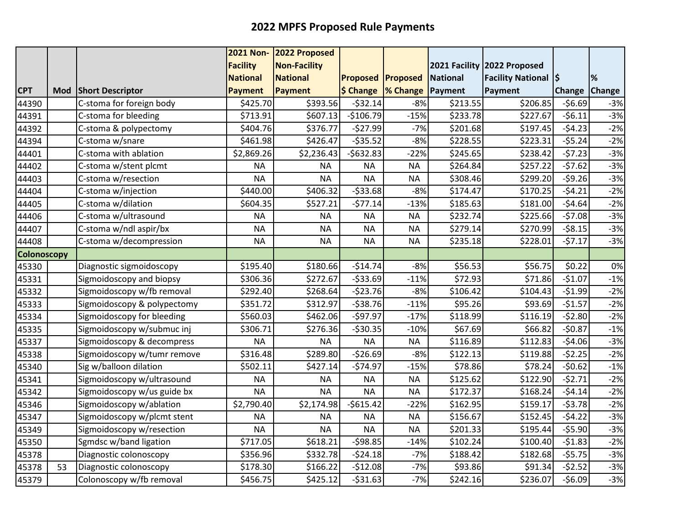|                    |            |                             | <b>2021 Non-</b> | 2022 Proposed       |                 |           |                 |                             |               |               |
|--------------------|------------|-----------------------------|------------------|---------------------|-----------------|-----------|-----------------|-----------------------------|---------------|---------------|
|                    |            |                             | <b>Facility</b>  | <b>Non-Facility</b> |                 |           |                 | 2021 Facility 2022 Proposed |               |               |
|                    |            |                             | <b>National</b>  | <b>National</b>     | <b>Proposed</b> | Proposed  | <b>National</b> | <b>Facility National S</b>  |               | %             |
| <b>CPT</b>         | <b>Mod</b> | <b>Short Descriptor</b>     | <b>Payment</b>   | Payment             | \$ Change       | % Change  | Payment         | Payment                     | <b>Change</b> | <b>Change</b> |
| 44390              |            | C-stoma for foreign body    | \$425.70         | \$393.56            | $-532.14$       | $-8%$     | \$213.55        | \$206.85                    | $-56.69$      | $-3%$         |
| 44391              |            | C-stoma for bleeding        | \$713.91         | \$607.13            | $-$106.79$      | $-15%$    | \$233.78        | \$227.67                    | $-56.11$      | $-3%$         |
| 44392              |            | C-stoma & polypectomy       | \$404.76         | \$376.77            | $-527.99$       | $-7%$     | \$201.68        | \$197.45                    | $-54.23$      | $-2%$         |
| 44394              |            | C-stoma w/snare             | \$461.98         | \$426.47            | $-535.52$       | $-8%$     | \$228.55        | \$223.31                    | $-55.24$      | $-2%$         |
| 44401              |            | C-stoma with ablation       | \$2,869.26       | \$2,236.43          | $-5632.83$      | $-22%$    | \$245.65        | \$238.42                    | $-57.23$      | $-3%$         |
| 44402              |            | C-stoma w/stent plcmt       | <b>NA</b>        | <b>NA</b>           | <b>NA</b>       | <b>NA</b> | \$264.84        | \$257.22                    | $-57.62$      | $-3%$         |
| 44403              |            | C-stoma w/resection         | <b>NA</b>        | <b>NA</b>           | <b>NA</b>       | <b>NA</b> | \$308.46        | \$299.20                    | $-59.26$      | $-3%$         |
| 44404              |            | C-stoma w/injection         | \$440.00         | \$406.32            | $-533.68$       | $-8%$     | \$174.47        | \$170.25                    | $-54.21$      | $-2%$         |
| 44405              |            | C-stoma w/dilation          | \$604.35         | \$527.21            | $-577.14$       | $-13%$    | \$185.63        | \$181.00                    | $-54.64$      | $-2%$         |
| 44406              |            | C-stoma w/ultrasound        | <b>NA</b>        | <b>NA</b>           | <b>NA</b>       | <b>NA</b> | \$232.74        | \$225.66                    | $-57.08$      | $-3%$         |
| 44407              |            | C-stoma w/ndl aspir/bx      | <b>NA</b>        | <b>NA</b>           | <b>NA</b>       | <b>NA</b> | \$279.14        | \$270.99                    | $-58.15$      | $-3%$         |
| 44408              |            | C-stoma w/decompression     | <b>NA</b>        | <b>NA</b>           | <b>NA</b>       | <b>NA</b> | \$235.18        | \$228.01                    | $-57.17$      | $-3%$         |
| <b>Colonoscopy</b> |            |                             |                  |                     |                 |           |                 |                             |               |               |
| 45330              |            | Diagnostic sigmoidoscopy    | \$195.40         | \$180.66            | $-514.74$       | $-8%$     | \$56.53         | \$56.75                     | \$0.22        | 0%            |
| 45331              |            | Sigmoidoscopy and biopsy    | \$306.36         | \$272.67            | $-533.69$       | $-11%$    | \$72.93         | \$71.86                     | $-$1.07$      | $-1%$         |
| 45332              |            | Sigmoidoscopy w/fb removal  | \$292.40         | \$268.64            | $-523.76$       | $-8%$     | \$106.42        | \$104.43                    | $-51.99$      | $-2%$         |
| 45333              |            | Sigmoidoscopy & polypectomy | \$351.72         | \$312.97            | $-538.76$       | $-11%$    | \$95.26         | \$93.69                     | $-51.57$      | $-2%$         |
| 45334              |            | Sigmoidoscopy for bleeding  | \$560.03         | \$462.06            | $-597.97$       | $-17%$    | \$118.99        | \$116.19                    | $-52.80$      | $-2%$         |
| 45335              |            | Sigmoidoscopy w/submuc inj  | \$306.71         | \$276.36            | $-530.35$       | $-10%$    | \$67.69         | \$66.82                     | $-50.87$      | $-1%$         |
| 45337              |            | Sigmoidoscopy & decompress  | <b>NA</b>        | <b>NA</b>           | <b>NA</b>       | <b>NA</b> | \$116.89        | \$112.83                    | $-54.06$      | $-3%$         |
| 45338              |            | Sigmoidoscopy w/tumr remove | \$316.48         | \$289.80            | $-526.69$       | $-8%$     | \$122.13        | \$119.88                    | $-52.25$      | $-2%$         |
| 45340              |            | Sig w/balloon dilation      | \$502.11         | \$427.14            | $-574.97$       | $-15%$    | \$78.86         | \$78.24                     | $-50.62$      | $-1%$         |
| 45341              |            | Sigmoidoscopy w/ultrasound  | <b>NA</b>        | <b>NA</b>           | <b>NA</b>       | <b>NA</b> | \$125.62        | \$122.90                    | $-52.71$      | $-2%$         |
| 45342              |            | Sigmoidoscopy w/us guide bx | <b>NA</b>        | <b>NA</b>           | <b>NA</b>       | <b>NA</b> | \$172.37        | \$168.24                    | $-54.14$      | $-2%$         |
| 45346              |            | Sigmoidoscopy w/ablation    | \$2,790.40       | \$2,174.98          | $-5615.42$      | $-22%$    | \$162.95        | \$159.17                    | $-53.78$      | $-2%$         |
| 45347              |            | Sigmoidoscopy w/plcmt stent | <b>NA</b>        | <b>NA</b>           | <b>NA</b>       | <b>NA</b> | \$156.67        | \$152.45                    | $-54.22$      | $-3%$         |
| 45349              |            | Sigmoidoscopy w/resection   | <b>NA</b>        | <b>NA</b>           | <b>NA</b>       | <b>NA</b> | \$201.33        | \$195.44                    | $-55.90$      | $-3%$         |
| 45350              |            | Sgmdsc w/band ligation      | \$717.05         | \$618.21            | $-598.85$       | $-14%$    | \$102.24        | \$100.40                    | $-51.83$      | $-2%$         |
| 45378              |            | Diagnostic colonoscopy      | \$356.96         | \$332.78            | $-524.18$       | $-7%$     | \$188.42        | \$182.68                    | $-55.75$      | $-3%$         |
| 45378              | 53         | Diagnostic colonoscopy      | \$178.30         | \$166.22            | $-$12.08$       | $-7%$     | \$93.86         | \$91.34                     | $-52.52$      | $-3%$         |
| 45379              |            | Colonoscopy w/fb removal    | \$456.75         | \$425.12            | $-531.63$       | $-7%$     | \$242.16        | \$236.07                    | $-56.09$      | $-3%$         |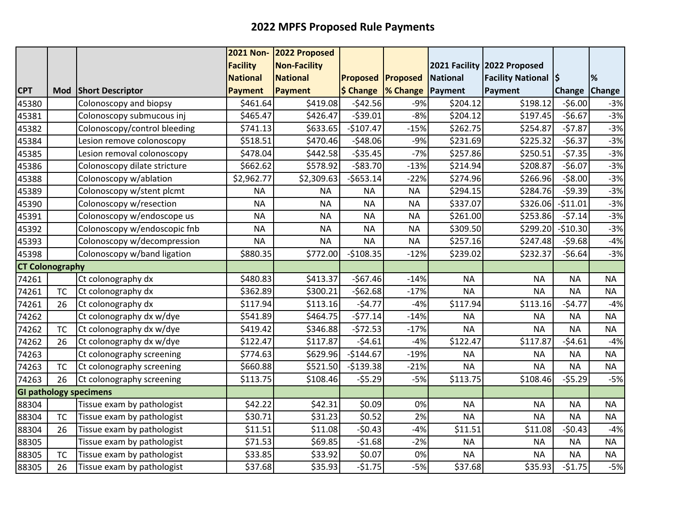|                        |           |                               | <b>2021 Non-</b> | 2022 Proposed       |                          |                          |                 |                             |               |               |
|------------------------|-----------|-------------------------------|------------------|---------------------|--------------------------|--------------------------|-----------------|-----------------------------|---------------|---------------|
|                        |           |                               | <b>Facility</b>  | <b>Non-Facility</b> |                          |                          |                 | 2021 Facility 2022 Proposed |               |               |
|                        |           |                               | <b>National</b>  | <b>National</b>     | <b>Proposed Proposed</b> |                          | <b>National</b> | <b>Facility National S</b>  |               | %             |
| <b>CPT</b>             | Mod       | <b>Short Descriptor</b>       | <b>Payment</b>   | <b>Payment</b>      | \$ Change                | <b>1% Change</b> Payment |                 | Payment                     | <b>Change</b> | <b>Change</b> |
| 45380                  |           | Colonoscopy and biopsy        | \$461.64         | \$419.08            | $-542.56$                | $-9%$                    | \$204.12        | \$198.12                    | $-56.00$      | $-3%$         |
| 45381                  |           | Colonoscopy submucous inj     | \$465.47         | \$426.47            | $-539.01$                | $-8%$                    | \$204.12        | \$197.45                    | $-56.67$      | $-3%$         |
| 45382                  |           | Colonoscopy/control bleeding  | \$741.13         | \$633.65            | $-$107.47$               | $-15%$                   | \$262.75        | \$254.87                    | $-57.87$      | $-3%$         |
| 45384                  |           | Lesion remove colonoscopy     | \$518.51         | \$470.46            | $-548.06$                | $-9%$                    | \$231.69        | \$225.32                    | $-56.37$      | $-3%$         |
| 45385                  |           | Lesion removal colonoscopy    | \$478.04         | \$442.58            | $-535.45$                | $-7%$                    | \$257.86        | \$250.51                    | $-57.35$      | $-3%$         |
| 45386                  |           | Colonoscopy dilate stricture  | \$662.62         | \$578.92            | $-$83.70$                | $-13%$                   | \$214.94        | \$208.87                    | $-$6.07$      | $-3%$         |
| 45388                  |           | Colonoscopy w/ablation        | \$2,962.77       | \$2,309.63          | $-5653.14$               | $-22%$                   | \$274.96        | \$266.96                    | $-58.00$      | $-3%$         |
| 45389                  |           | Colonoscopy w/stent plcmt     | <b>NA</b>        | <b>NA</b>           | <b>NA</b>                | <b>NA</b>                | \$294.15        | \$284.76                    | $-59.39$      | $-3%$         |
| 45390                  |           | Colonoscopy w/resection       | <b>NA</b>        | <b>NA</b>           | <b>NA</b>                | <b>NA</b>                | \$337.07        | \$326.06                    | $-511.01$     | $-3%$         |
| 45391                  |           | Colonoscopy w/endoscope us    | <b>NA</b>        | <b>NA</b>           | <b>NA</b>                | <b>NA</b>                | \$261.00        | \$253.86                    | $-57.14$      | $-3%$         |
| 45392                  |           | Colonoscopy w/endoscopic fnb  | <b>NA</b>        | <b>NA</b>           | <b>NA</b>                | <b>NA</b>                | \$309.50        | \$299.20                    | $-$10.30$     | $-3%$         |
| 45393                  |           | Colonoscopy w/decompression   | <b>NA</b>        | <b>NA</b>           | <b>NA</b>                | <b>NA</b>                | \$257.16        | \$247.48                    | $-59.68$      | $-4%$         |
| 45398                  |           | Colonoscopy w/band ligation   | \$880.35         | \$772.00            | $-$108.35$               | $-12%$                   | \$239.02        | \$232.37                    | $-56.64$      | $-3%$         |
| <b>CT Colonography</b> |           |                               |                  |                     |                          |                          |                 |                             |               |               |
| 74261                  |           | Ct colonography dx            | \$480.83         | \$413.37            | $-$67.46$                | $-14%$                   | <b>NA</b>       | <b>NA</b>                   | <b>NA</b>     | <b>NA</b>     |
| 74261                  | <b>TC</b> | Ct colonography dx            | \$362.89         | \$300.21            | $-562.68$                | $-17%$                   | <b>NA</b>       | <b>NA</b>                   | <b>NA</b>     | <b>NA</b>     |
| 74261                  | 26        | Ct colonography dx            | \$117.94         | \$113.16            | $-54.77$                 | $-4%$                    | \$117.94        | \$113.16                    | $-54.77$      | $-4%$         |
| 74262                  |           | Ct colonography dx w/dye      | \$541.89         | \$464.75            | $-577.14$                | $-14%$                   | <b>NA</b>       | <b>NA</b>                   | <b>NA</b>     | <b>NA</b>     |
| 74262                  | <b>TC</b> | Ct colonography dx w/dye      | \$419.42         | \$346.88            | $-572.53$                | $-17%$                   | <b>NA</b>       | <b>NA</b>                   | <b>NA</b>     | <b>NA</b>     |
| 74262                  | 26        | Ct colonography dx w/dye      | \$122.47         | \$117.87            | $-54.61$                 | $-4%$                    | \$122.47        | \$117.87                    | $-54.61$      | $-4%$         |
| 74263                  |           | Ct colonography screening     | \$774.63         | \$629.96            | $-$144.67$               | $-19%$                   | <b>NA</b>       | <b>NA</b>                   | <b>NA</b>     | <b>NA</b>     |
| 74263                  | <b>TC</b> | Ct colonography screening     | \$660.88         | \$521.50            | $-5139.38$               | $-21%$                   | <b>NA</b>       | <b>NA</b>                   | <b>NA</b>     | <b>NA</b>     |
| 74263                  | 26        | Ct colonography screening     | \$113.75         | \$108.46            | $-55.29$                 | $-5%$                    | \$113.75        | \$108.46                    | $-55.29$      | $-5%$         |
|                        |           | <b>GI pathology specimens</b> |                  |                     |                          |                          |                 |                             |               |               |
| 88304                  |           | Tissue exam by pathologist    | \$42.22          | \$42.31             | \$0.09                   | 0%                       | <b>NA</b>       | <b>NA</b>                   | <b>NA</b>     | <b>NA</b>     |
| 88304                  | <b>TC</b> | Tissue exam by pathologist    | \$30.71          | \$31.23             | \$0.52                   | 2%                       | <b>NA</b>       | <b>NA</b>                   | <b>NA</b>     | <b>NA</b>     |
| 88304                  | 26        | Tissue exam by pathologist    | \$11.51          | \$11.08             | $-50.43$                 | $-4%$                    | \$11.51         | \$11.08                     | $-50.43$      | $-4%$         |
| 88305                  |           | Tissue exam by pathologist    | \$71.53          | \$69.85             | $-51.68$                 | $-2%$                    | <b>NA</b>       | <b>NA</b>                   | <b>NA</b>     | <b>NA</b>     |
| 88305                  | <b>TC</b> | Tissue exam by pathologist    | \$33.85          | \$33.92             | \$0.07                   | 0%                       | <b>NA</b>       | <b>NA</b>                   | <b>NA</b>     | <b>NA</b>     |
| 88305                  | 26        | Tissue exam by pathologist    | \$37.68          | \$35.93             | $-51.75$                 | $-5%$                    | \$37.68         | \$35.93                     | $-51.75$      | $-5%$         |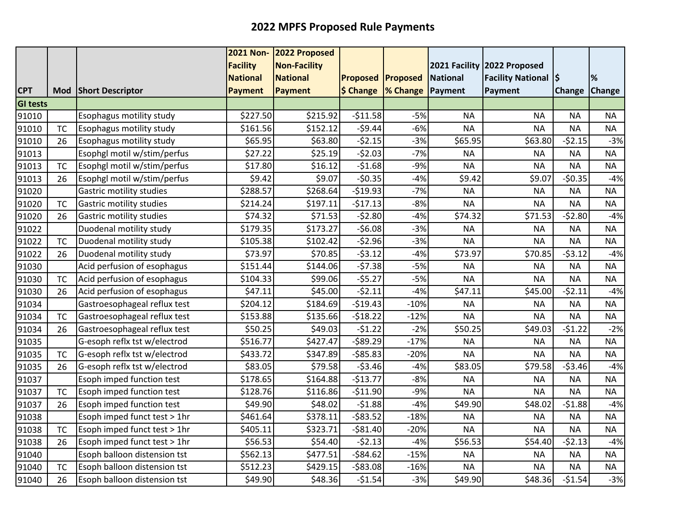|                 |           |                                 | <b>2021 Non-</b> | 2022 Proposed       |                          |                                           |                 |                             |               |               |
|-----------------|-----------|---------------------------------|------------------|---------------------|--------------------------|-------------------------------------------|-----------------|-----------------------------|---------------|---------------|
|                 |           |                                 | <b>Facility</b>  | <b>Non-Facility</b> |                          |                                           |                 | 2021 Facility 2022 Proposed |               |               |
|                 |           |                                 | <b>National</b>  | <b>National</b>     | <b>Proposed Proposed</b> |                                           | <b>National</b> | <b>Facility National S</b>  |               | %             |
| <b>CPT</b>      |           | Mod Short Descriptor            | Payment          | <b>Payment</b>      |                          | $\frac{1}{2}$ Change $\frac{1}{2}$ Change | Payment         | Payment                     | <b>Change</b> | <b>Change</b> |
| <b>GI tests</b> |           |                                 |                  |                     |                          |                                           |                 |                             |               |               |
| 91010           |           | Esophagus motility study        | \$227.50         | \$215.92            | $-511.58$                | $-5%$                                     | <b>NA</b>       | <b>NA</b>                   | <b>NA</b>     | <b>NA</b>     |
| 91010           | <b>TC</b> | Esophagus motility study        | \$161.56         | \$152.12            | $-59.44$                 | $-6%$                                     | <b>NA</b>       | <b>NA</b>                   | <b>NA</b>     | <b>NA</b>     |
| 91010           | 26        | Esophagus motility study        | \$65.95          | \$63.80             | $-52.15$                 | $-3%$                                     | \$65.95         | \$63.80                     | $-52.15$      | $-3%$         |
| 91013           |           | Esophgl motil w/stim/perfus     | \$27.22          | \$25.19             | $-52.03$                 | $-7%$                                     | <b>NA</b>       | <b>NA</b>                   | <b>NA</b>     | <b>NA</b>     |
| 91013           | <b>TC</b> | Esophgl motil w/stim/perfus     | \$17.80          | \$16.12             | $-51.68$                 | $-9%$                                     | <b>NA</b>       | <b>NA</b>                   | <b>NA</b>     | <b>NA</b>     |
| 91013           | 26        | Esophgl motil w/stim/perfus     | \$9.42           | \$9.07              | $-50.35$                 | $-4%$                                     | \$9.42          | \$9.07                      | $-50.35$      | $-4%$         |
| 91020           |           | <b>Gastric motility studies</b> | \$288.57         | \$268.64            | $-$19.93$                | $-7%$                                     | <b>NA</b>       | <b>NA</b>                   | <b>NA</b>     | <b>NA</b>     |
| 91020           | <b>TC</b> | Gastric motility studies        | \$214.24         | \$197.11            | $-517.13$                | $-8%$                                     | <b>NA</b>       | <b>NA</b>                   | <b>NA</b>     | <b>NA</b>     |
| 91020           | 26        | Gastric motility studies        | \$74.32          | \$71.53             | $-52.80$                 | $-4%$                                     | \$74.32         | \$71.53                     | $-52.80$      | $-4%$         |
| 91022           |           | Duodenal motility study         | \$179.35         | \$173.27            | $-56.08$                 | $-3%$                                     | <b>NA</b>       | <b>NA</b>                   | <b>NA</b>     | <b>NA</b>     |
| 91022           | <b>TC</b> | Duodenal motility study         | \$105.38         | \$102.42            | $-52.96$                 | $-3%$                                     | <b>NA</b>       | <b>NA</b>                   | <b>NA</b>     | <b>NA</b>     |
| 91022           | 26        | Duodenal motility study         | \$73.97          | \$70.85             | $-53.12$                 | $-4%$                                     | \$73.97         | \$70.85                     | $-53.12$      | $-4%$         |
| 91030           |           | Acid perfusion of esophagus     | \$151.44         | \$144.06            | $-57.38$                 | $-5%$                                     | <b>NA</b>       | <b>NA</b>                   | <b>NA</b>     | <b>NA</b>     |
| 91030           | <b>TC</b> | Acid perfusion of esophagus     | \$104.33         | \$99.06             | $-55.27$                 | $-5%$                                     | <b>NA</b>       | <b>NA</b>                   | <b>NA</b>     | <b>NA</b>     |
| 91030           | 26        | Acid perfusion of esophagus     | \$47.11          | \$45.00             | $-52.11$                 | $-4%$                                     | \$47.11         | \$45.00                     | $-52.11$      | $-4%$         |
| 91034           |           | Gastroesophageal reflux test    | \$204.12         | \$184.69            | $-519.43$                | $-10%$                                    | <b>NA</b>       | <b>NA</b>                   | <b>NA</b>     | <b>NA</b>     |
| 91034           | <b>TC</b> | Gastroesophageal reflux test    | \$153.88         | \$135.66            | $-518.22$                | $-12%$                                    | <b>NA</b>       | <b>NA</b>                   | <b>NA</b>     | <b>NA</b>     |
| 91034           | 26        | Gastroesophageal reflux test    | \$50.25          | \$49.03             | $-51.22$                 | $-2%$                                     | \$50.25         | \$49.03                     | $-51.22$      | $-2%$         |
| 91035           |           | G-esoph reflx tst w/electrod    | \$516.77         | \$427.47            | $-589.29$                | $-17%$                                    | <b>NA</b>       | <b>NA</b>                   | <b>NA</b>     | <b>NA</b>     |
| 91035           | <b>TC</b> | G-esoph reflx tst w/electrod    | \$433.72         | \$347.89            | $-585.83$                | $-20%$                                    | <b>NA</b>       | <b>NA</b>                   | <b>NA</b>     | <b>NA</b>     |
| 91035           | 26        | G-esoph reflx tst w/electrod    | \$83.05          | \$79.58             | $-53.46$                 | $-4%$                                     | \$83.05         | \$79.58                     | $-53.46$      | $-4%$         |
| 91037           |           | Esoph imped function test       | \$178.65         | \$164.88            | $-$13.77$                | $-8%$                                     | <b>NA</b>       | <b>NA</b>                   | <b>NA</b>     | <b>NA</b>     |
| 91037           | <b>TC</b> | Esoph imped function test       | \$128.76         | \$116.86            | $-$11.90$                | $-9%$                                     | <b>NA</b>       | <b>NA</b>                   | <b>NA</b>     | <b>NA</b>     |
| 91037           | 26        | Esoph imped function test       | \$49.90          | \$48.02             | $-51.88$                 | $-4%$                                     | \$49.90         | \$48.02                     | $-51.88$      | $-4%$         |
| 91038           |           | Esoph imped funct test > 1hr    | \$461.64         | \$378.11            | $-583.52$                | $-18%$                                    | <b>NA</b>       | <b>NA</b>                   | <b>NA</b>     | <b>NA</b>     |
| 91038           | <b>TC</b> | Esoph imped funct test > 1hr    | \$405.11         | \$323.71            | $-581.40$                | $-20%$                                    | <b>NA</b>       | <b>NA</b>                   | <b>NA</b>     | <b>NA</b>     |
| 91038           | 26        | Esoph imped funct test > 1hr    | \$56.53          | \$54.40             | $-52.13$                 | $-4%$                                     | \$56.53         | \$54.40                     | $-52.13$      | $-4%$         |
| 91040           |           | Esoph balloon distension tst    | \$562.13         | \$477.51            | $-584.62$                | $-15%$                                    | <b>NA</b>       | <b>NA</b>                   | <b>NA</b>     | <b>NA</b>     |
| 91040           | <b>TC</b> | Esoph balloon distension tst    | \$512.23         | \$429.15            | $-583.08$                | $-16%$                                    | <b>NA</b>       | <b>NA</b>                   | <b>NA</b>     | <b>NA</b>     |
| 91040           | 26        | Esoph balloon distension tst    | \$49.90          | \$48.36             | $-51.54$                 | $-3%$                                     | \$49.90         | \$48.36                     | $-51.54$      | $-3%$         |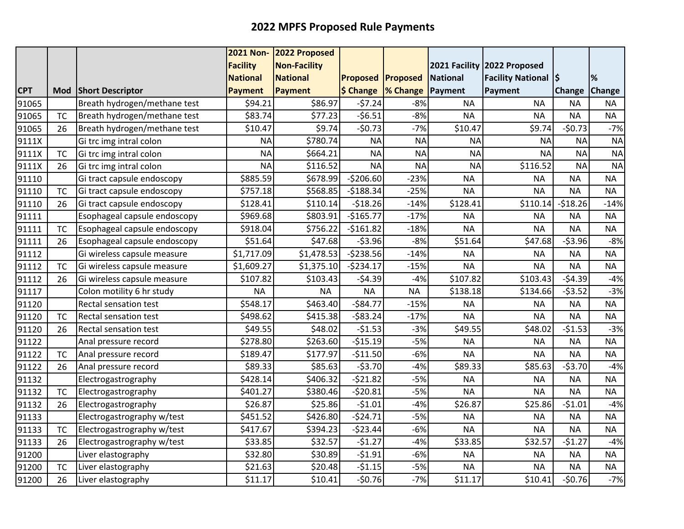|            |           |                              | <b>2021 Non-</b> | 2022 Proposed       |                          |           |                 |                             |               |               |
|------------|-----------|------------------------------|------------------|---------------------|--------------------------|-----------|-----------------|-----------------------------|---------------|---------------|
|            |           |                              | <b>Facility</b>  | <b>Non-Facility</b> |                          |           |                 | 2021 Facility 2022 Proposed |               |               |
|            |           |                              | <b>National</b>  | <b>National</b>     | <b>Proposed Proposed</b> |           | <b>National</b> | <b>Facility National S</b>  |               | %             |
| <b>CPT</b> |           | Mod Short Descriptor         | <b>Payment</b>   | <b>Payment</b>      | \$ Change  % Change      |           | Payment         | <b>Payment</b>              | <b>Change</b> | <b>Change</b> |
| 91065      |           | Breath hydrogen/methane test | \$94.21          | \$86.97             | $-57.24$                 | $-8%$     | <b>NA</b>       | <b>NA</b>                   | <b>NA</b>     | <b>NA</b>     |
| 91065      | <b>TC</b> | Breath hydrogen/methane test | \$83.74          | \$77.23             | $-56.51$                 | $-8%$     | <b>NA</b>       | <b>NA</b>                   | <b>NA</b>     | <b>NA</b>     |
| 91065      | 26        | Breath hydrogen/methane test | \$10.47          | \$9.74              | $-50.73$                 | $-7%$     | \$10.47         | \$9.74                      | $-50.73$      | $-7%$         |
| 9111X      |           | Gi trc img intral colon      | <b>NA</b>        | \$780.74            | <b>NA</b>                | <b>NA</b> | <b>NA</b>       | <b>NA</b>                   | <b>NA</b>     | <b>NA</b>     |
| 9111X      | <b>TC</b> | Gi trc img intral colon      | <b>NA</b>        | \$664.21            | <b>NA</b>                | <b>NA</b> | <b>NA</b>       | <b>NA</b>                   | <b>NA</b>     | <b>NA</b>     |
| 9111X      | 26        | Gi trc img intral colon      | <b>NA</b>        | \$116.52            | <b>NA</b>                | <b>NA</b> | <b>NA</b>       | \$116.52                    | <b>NA</b>     | <b>NA</b>     |
| 91110      |           | Gi tract capsule endoscopy   | \$885.59         | \$678.99            | $-5206.60$               | $-23%$    | <b>NA</b>       | <b>NA</b>                   | <b>NA</b>     | <b>NA</b>     |
| 91110      | <b>TC</b> | Gi tract capsule endoscopy   | \$757.18         | \$568.85            | $-5188.34$               | $-25%$    | <b>NA</b>       | <b>NA</b>                   | <b>NA</b>     | <b>NA</b>     |
| 91110      | 26        | Gi tract capsule endoscopy   | \$128.41         | \$110.14            | $-518.26$                | $-14%$    | \$128.41        | \$110.14                    | $-518.26$     | $-14%$        |
| 91111      |           | Esophageal capsule endoscopy | \$969.68         | \$803.91            | $-$165.77$               | $-17%$    | <b>NA</b>       | <b>NA</b>                   | <b>NA</b>     | <b>NA</b>     |
| 91111      | <b>TC</b> | Esophageal capsule endoscopy | \$918.04         | \$756.22            | $-5161.82$               | $-18%$    | <b>NA</b>       | <b>NA</b>                   | <b>NA</b>     | <b>NA</b>     |
| 91111      | 26        | Esophageal capsule endoscopy | \$51.64          | \$47.68             | $-53.96$                 | $-8%$     | \$51.64         | \$47.68                     | $-53.96$      | $-8%$         |
| 91112      |           | Gi wireless capsule measure  | \$1,717.09       | \$1,478.53          | $-5238.56$               | $-14%$    | <b>NA</b>       | <b>NA</b>                   | <b>NA</b>     | <b>NA</b>     |
| 91112      | <b>TC</b> | Gi wireless capsule measure  | \$1,609.27       | \$1,375.10          | $-5234.17$               | $-15%$    | <b>NA</b>       | <b>NA</b>                   | <b>NA</b>     | <b>NA</b>     |
| 91112      | 26        | Gi wireless capsule measure  | \$107.82         | \$103.43            | $-54.39$                 | $-4%$     | \$107.82        | \$103.43                    | $-54.39$      | $-4%$         |
| 91117      |           | Colon motility 6 hr study    | <b>NA</b>        | <b>NA</b>           | <b>NA</b>                | <b>NA</b> | \$138.18        | \$134.66                    | $-53.52$      | $-3%$         |
| 91120      |           | Rectal sensation test        | \$548.17         | \$463.40            | $-584.77$                | $-15%$    | <b>NA</b>       | <b>NA</b>                   | <b>NA</b>     | <b>NA</b>     |
| 91120      | <b>TC</b> | <b>Rectal sensation test</b> | \$498.62         | \$415.38            | $-583.24$                | $-17%$    | <b>NA</b>       | <b>NA</b>                   | <b>NA</b>     | <b>NA</b>     |
| 91120      | 26        | <b>Rectal sensation test</b> | \$49.55          | \$48.02             | $-51.53$                 | $-3%$     | \$49.55         | \$48.02                     | $-51.53$      | $-3%$         |
| 91122      |           | Anal pressure record         | \$278.80         | \$263.60            | $-$15.19$                | $-5%$     | <b>NA</b>       | <b>NA</b>                   | <b>NA</b>     | <b>NA</b>     |
| 91122      | <b>TC</b> | Anal pressure record         | \$189.47         | \$177.97            | $-$11.50$                | $-6%$     | <b>NA</b>       | <b>NA</b>                   | <b>NA</b>     | <b>NA</b>     |
| 91122      | 26        | Anal pressure record         | \$89.33          | \$85.63             | $-53.70$                 | $-4%$     | \$89.33         | \$85.63                     | $-53.70$      | $-4%$         |
| 91132      |           | Electrogastrography          | \$428.14         | \$406.32            | $-521.82$                | $-5%$     | <b>NA</b>       | <b>NA</b>                   | <b>NA</b>     | <b>NA</b>     |
| 91132      | <b>TC</b> | Electrogastrography          | \$401.27         | \$380.46            | $-520.81$                | $-5%$     | <b>NA</b>       | <b>NA</b>                   | <b>NA</b>     | <b>NA</b>     |
| 91132      | 26        | Electrogastrography          | \$26.87          | \$25.86             | $-51.01$                 | $-4%$     | \$26.87         | \$25.86                     | $-51.01$      | $-4%$         |
| 91133      |           | Electrogastrography w/test   | \$451.52         | \$426.80            | $-524.71$                | $-5%$     | <b>NA</b>       | <b>NA</b>                   | <b>NA</b>     | <b>NA</b>     |
| 91133      | <b>TC</b> | Electrogastrography w/test   | \$417.67         | \$394.23            | $-523.44$                | $-6%$     | <b>NA</b>       | <b>NA</b>                   | <b>NA</b>     | <b>NA</b>     |
| 91133      | 26        | Electrogastrography w/test   | \$33.85          | \$32.57             | $-51.27$                 | $-4%$     | \$33.85         | \$32.57                     | $-51.27$      | $-4%$         |
| 91200      |           | Liver elastography           | \$32.80          | \$30.89             | $-51.91$                 | $-6%$     | <b>NA</b>       | <b>NA</b>                   | <b>NA</b>     | <b>NA</b>     |
| 91200      | <b>TC</b> | Liver elastography           | \$21.63          | \$20.48             | $-51.15$                 | $-5%$     | <b>NA</b>       | <b>NA</b>                   | <b>NA</b>     | <b>NA</b>     |
| 91200      | 26        | Liver elastography           | \$11.17          | \$10.41             | $-50.76$                 | $-7%$     | \$11.17         | \$10.41                     | $-50.76$      | $-7%$         |